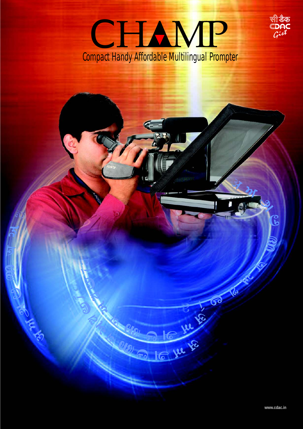

P Ju te

CON ALL